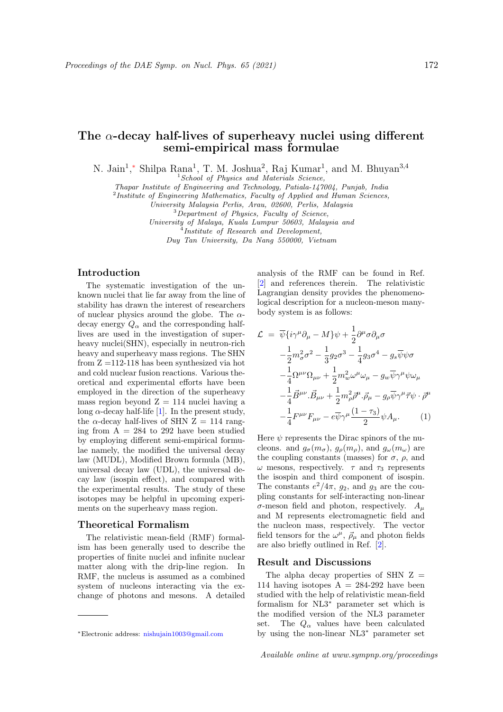# The  $\alpha$ -decay half-lives of superheavy nuclei using different semi-empirical mass formulae

N. Jain<sup>1</sup>,\* Shilpa Rana<sup>1</sup>, T. M. Joshua<sup>2</sup>, Raj Kumar<sup>1</sup>, and M. Bhuyan<sup>3,4</sup>

 $1$  School of Physics and Materials Science,

Thapar Institute of Engineering and Technology, Patiala-147004, Punjab, India

<sup>2</sup>Institute of Engineering Mathematics, Faculty of Applied and Human Sciences,

University Malaysia Perlis, Arau, 02600, Perlis, Malaysia

 $3$ Department of Physics, Faculty of Science,

University of Malaya, Kuala Lumpur 50603, Malaysia and <sup>4</sup>Institute of Research and Development,

Duy Tan University, Da Nang 550000, Vietnam

## Introduction

The systematic investigation of the unknown nuclei that lie far away from the line of stability has drawn the interest of researchers of nuclear physics around the globe. The  $\alpha$ decay energy  $Q_{\alpha}$  and the corresponding halflives are used in the investigation of superheavy nuclei(SHN), especially in neutron-rich heavy and superheavy mass regions. The SHN from Z =112-118 has been synthesized via hot and cold nuclear fusion reactions. Various theoretical and experimental efforts have been employed in the direction of the superheavy mass region beyond  $Z = 114$  nuclei having a long  $\alpha$ -decay half-life [1]. In the present study, the  $\alpha$ -decay half-lives of SHN Z = 114 ranging from  $A = 284$  to 292 have been studied by employing different semi-empirical formulae namely, the modified the universal decay law (MUDL), Modified Brown formula (MB), universal decay law (UDL), the universal decay law (isospin effect), and compared with the experimental results. The study of these isotopes may be helpful in upcoming experiments on the superheavy mass region.

## Theoretical Formalism

The relativistic mean-field (RMF) formalism has been generally used to describe the properties of finite nuclei and infinite nuclear matter along with the drip-line region. In RMF, the nucleus is assumed as a combined system of nucleons interacting via the exchange of photons and mesons. A detailed analysis of the RMF can be found in Ref. [2] and references therein. The relativistic Lagrangian density provides the phenomenological description for a nucleon-meson manybody system is as follows:

$$
\mathcal{L} = \overline{\psi} \{ i\gamma^{\mu} \partial_{\mu} - M \} \psi + \frac{1}{2} \partial^{\mu} \sigma \partial_{\mu} \sigma
$$
  
\n
$$
- \frac{1}{2} m_{\sigma}^{2} \sigma^{2} - \frac{1}{3} g_{2} \sigma^{3} - \frac{1}{4} g_{3} \sigma^{4} - g_{s} \overline{\psi} \psi \sigma
$$
  
\n
$$
- \frac{1}{4} \Omega^{\mu \nu} \Omega_{\mu \nu} + \frac{1}{2} m_{\omega}^{2} \omega^{\mu} \omega_{\mu} - g_{w} \overline{\psi} \gamma^{\mu} \psi \omega_{\mu}
$$
  
\n
$$
- \frac{1}{4} \overrightarrow{B}^{\mu \nu} . \overrightarrow{B}_{\mu \nu} + \frac{1}{2} m_{\rho}^{2} \overrightarrow{\rho}^{\mu} . \overrightarrow{\rho}_{\mu} - g_{\rho} \overline{\psi} \gamma^{\mu} \overrightarrow{\tau} \psi \cdot \overrightarrow{\rho}^{\mu}
$$
  
\n
$$
- \frac{1}{4} F^{\mu \nu} F_{\mu \nu} - e \overline{\psi} \gamma^{\mu} \frac{(1 - \tau_{3})}{2} \psi A_{\mu}. \qquad (1)
$$

Here  $\psi$  represents the Dirac spinors of the nucleons. and  $g_{\sigma}(m_{\sigma}), g_{\rho}(m_{\rho}),$  and  $g_{\omega}(m_{\omega})$  are the coupling constants (masses) for  $\sigma$ ,  $\rho$ , and ω mesons, respectively.  $\tau$  and  $\tau_3$  represents the isospin and third component of isospin. The constants  $e^2/4\pi$ ,  $g_2$ , and  $g_3$  are the coupling constants for self-interacting non-linear  $\sigma$ -meson field and photon, respectively.  $A_{\mu}$ and M represents electromagnetic field and the nucleon mass, respectively. The vector field tensors for the  $\omega^{\mu}$ ,  $\vec{\rho}_{\mu}$  and photon fields are also briefly outlined in Ref. [2].

## Result and Discussions

The alpha decay properties of SHN  $Z =$ 114 having isotopes  $A = 284-292$  have been studied with the help of relativistic mean-field formalism for NL3<sup>∗</sup> parameter set which is the modified version of the NL3 parameter set. The  $Q_{\alpha}$  values have been calculated by using the non-linear NL3<sup>∗</sup> parameter set

<sup>∗</sup>Electronic address: nishujain1003@gmail.com